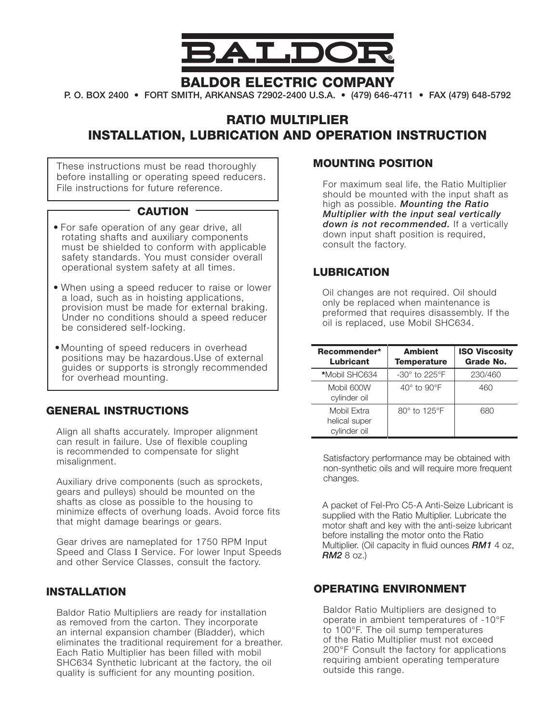

## baldor electric company

p. o. box 2400 • fort smith, arkansas 72902-2400 u.s.a. • (479) 646-4711 • fax (479) 648-5792

# Ratio Multiplier INSTALLATION, LUBRICATION AND OPERATION INSTRUCTION

These instructions must be read thoroughly before installing or operating speed reducers. File instructions for future reference.

## CAUTION -

- For safe operation of any gear drive, all rotating shafts and auxiliary components must be shielded to conform with applicable safety standards. You must consider overall operational system safety at all times.
- When using a speed reducer to raise or lower a load, such as in hoisting applications, provision must be made for external braking. Under no conditions should a speed reducer be considered self-locking.
- Mounting of speed reducers in overhead positions may be hazardous.Use of external guides or supports is strongly recommended for overhead mounting.

#### GENERAL INSTRUCTIONS

Align all shafts accurately. Improper alignment can result in failure. Use of flexible coupling is recommended to compensate for slight misalignment.

Auxiliary drive components (such as sprockets, gears and pulleys) should be mounted on the shafts as close as possible to the housing to minimize effects of overhung loads. Avoid force fits that might damage bearings or gears.

Gear drives are nameplated for 1750 RPM Input Speed and Class I Service. For lower Input Speeds and other Service Classes, consult the factory.

#### INSTALLATION

Baldor Ratio Multipliers are ready for installation as removed from the carton. They incorporate an internal expansion chamber (Bladder), which eliminates the traditional requirement for a breather. Each Ratio Multiplier has been filled with mobil SHC634 Synthetic lubricant at the factory, the oil quality is sufficient for any mounting position.

#### Mounting Position

For maximum seal life, the Ratio Multiplier should be mounted with the input shaft as high as possible. *Mounting the Ratio Multiplier with the input seal vertically down is not recommended.* If a vertically down input shaft position is required, consult the factory.

## **LUBRICATION**

Oil changes are not required. Oil should only be replaced when maintenance is preformed that requires disassembly. If the oil is replaced, use Mobil SHC634.

| Recommender*<br><b>Lubricant</b>             | <b>Ambient</b><br><b>Temperature</b> | <b>ISO Viscosity</b><br>Grade No. |
|----------------------------------------------|--------------------------------------|-----------------------------------|
| *Mobil SHC634                                | $-30^\circ$ to 225 $\degree$ F       | 230/460                           |
| Mobil 600W<br>cylinder oil                   | $40^\circ$ to $90^\circ F$           | 460                               |
| Mobil Extra<br>helical super<br>cylinder oil | 80° to 125°F                         | 680                               |

Satisfactory performance may be obtained with non-synthetic oils and will require more frequent changes.

 A packet of Fel-Pro C5-A Anti-Seize Lubricant is supplied with the Ratio Multiplier. Lubricate the motor shaft and key with the anti-seize lubricant before installing the motor onto the Ratio Multiplier. (Oil capacity in fluid ounces *RM1* 4 oz, *RM2* 8 oz.)

### Operating Environment

Baldor Ratio Multipliers are designed to operate in ambient temperatures of -10°F to 100°F. The oil sump temperatures of the Ratio Multiplier must not exceed 200°F Consult the factory for applications requiring ambient operating temperature outside this range.